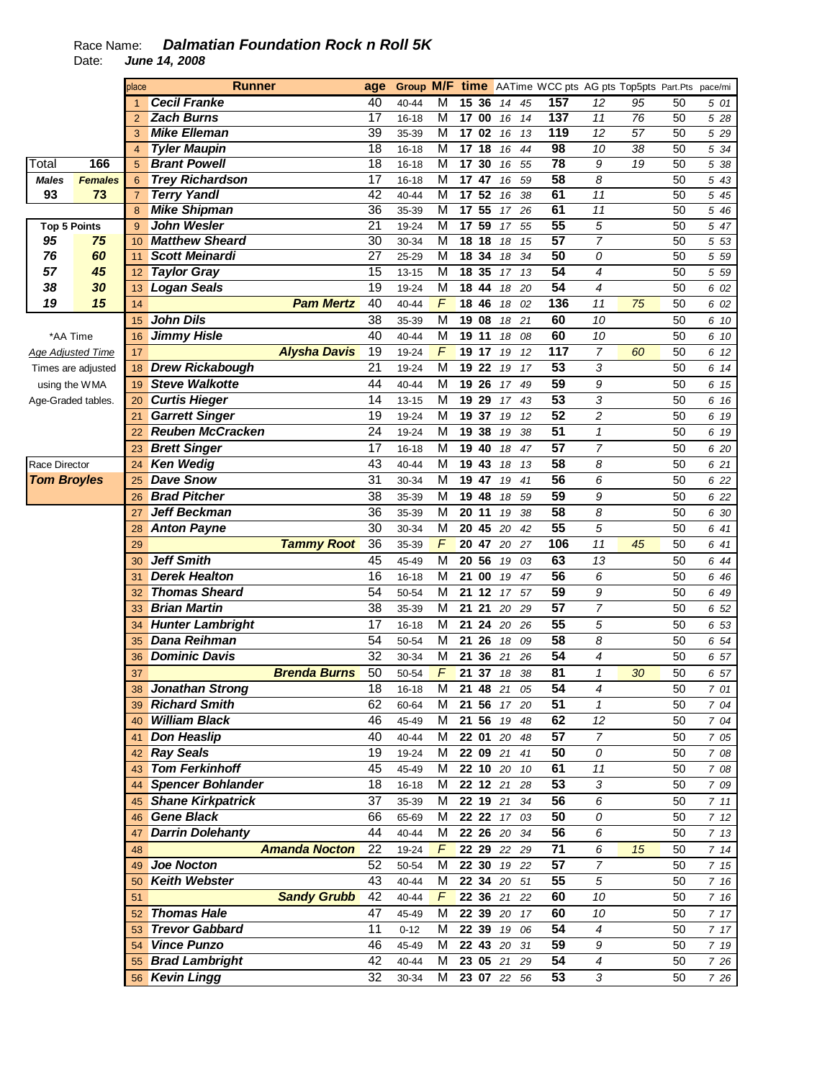## Race Name: **Dalmatian Foundation Rock n Roll 5K**  Date: **June 14, 2008**

|                      |                | place          | <b>Runner</b>            |                      | age             |           |                         |                  |    |             |    | <b>Group M/F time</b> AATime WCC pts AG pts Top5pts Part.Pts pace/mi |                 |    |    |                   |
|----------------------|----------------|----------------|--------------------------|----------------------|-----------------|-----------|-------------------------|------------------|----|-------------|----|----------------------------------------------------------------------|-----------------|----|----|-------------------|
|                      |                | $\mathbf{1}$   | <b>Cecil Franke</b>      |                      | 40              | 40-44     | M                       | 15 36            |    | 14          | 45 | 157                                                                  | 12              | 95 | 50 | 501               |
|                      |                | $\overline{2}$ | <b>Zach Burns</b>        |                      | $\overline{17}$ | $16 - 18$ | $\overline{M}$          | 17 00            |    | 16          | 14 | 137                                                                  | $\overline{11}$ | 76 | 50 | 5 28              |
|                      |                | 3              | <b>Mike Elleman</b>      |                      | 39              | 35-39     | M                       | 17 02            |    | 16          | 13 | 119                                                                  | 12              | 57 | 50 | 5 2 9             |
|                      |                | $\overline{4}$ | <b>Tyler Maupin</b>      |                      | $\overline{18}$ | $16 - 18$ | $\overline{M}$          | 17 <sub>18</sub> |    | 16          | 44 | 98                                                                   | 10              | 38 | 50 | 5 34              |
| Total                | 166            | 5              | <b>Brant Powell</b>      |                      | 18              | $16 - 18$ | M                       | 17 30            |    | 16          | 55 | 78                                                                   | 9               | 19 | 50 | $\overline{5}$ 38 |
| <b>Males</b>         | <b>Females</b> | 6              | <b>Trey Richardson</b>   |                      | 17              | $16 - 18$ | M                       | 17 47            |    | 16          | 59 | 58                                                                   | 8               |    | 50 | 5 43              |
| 93                   | 73             | $\overline{7}$ | <b>Terry Yandl</b>       |                      | 42              | 40-44     | M                       | 17               | 52 | 16          | 38 | 61                                                                   | 11              |    | 50 | 5 45              |
|                      |                | 8              | <b>Mike Shipman</b>      |                      | 36              | 35-39     | M                       | 17               | 55 | 17          | 26 | 61                                                                   | 11              |    | 50 | 5 46              |
| <b>Top 5 Points</b>  |                | 9              | <b>John Wesler</b>       |                      | $\overline{21}$ | 19-24     | M                       | 17               | 59 | 17          | 55 | 55                                                                   | $\overline{5}$  |    | 50 | $\overline{5}$ 47 |
| 95                   | 75             | 10             | <b>Matthew Sheard</b>    |                      | 30              | 30-34     | M                       | 18 18            |    | 18          | 15 | 57                                                                   | $\overline{7}$  |    | 50 | 5 53              |
| 76                   | 60             | 11             | <b>Scott Meinardi</b>    |                      | $\overline{27}$ | 25-29     | M                       | 18               | 34 | 18          | 34 | 50                                                                   | 0               |    | 50 | 5 5 9             |
| 57                   | 45             | 12             | <b>Taylor Gray</b>       |                      | $\overline{15}$ | $13 - 15$ | M                       | 18 35            |    | 17          | 13 | 54                                                                   | $\overline{4}$  |    | 50 | 5 5 9             |
| 38                   | 30             | 13             | <b>Logan Seals</b>       |                      | 19              | 19-24     | M                       | 18 44            |    | 18          | 20 | $\overline{54}$                                                      | 4               |    | 50 | 6 02              |
| 19                   | 15             | 14             |                          | <b>Pam Mertz</b>     | 40              | 40-44     | $\sqrt{ }$              | 18 46            |    | 18          | 02 | 136                                                                  | 11              | 75 | 50 | 6 02              |
|                      |                | 15             | <b>John Dils</b>         |                      | 38              | 35-39     | M                       | 19 08            |    | 18          | 21 | 60                                                                   | 10              |    | 50 | 6 10              |
| *AA Time             |                | 16             | <b>Jimmy Hisle</b>       |                      | 40              | 40-44     | M                       | 19 11            |    | 18          | 08 | 60                                                                   | 10              |    | 50 | 6 10              |
| Age Adjusted Time    |                | 17             |                          | <b>Alysha Davis</b>  | 19              | 19-24     | $\overline{F}$          | 19 17            |    | 19          | 12 | 117                                                                  | $\overline{7}$  | 60 | 50 | 6 12              |
| Times are adjusted   |                | 18             | <b>Drew Rickabough</b>   |                      | 21              | 19-24     | M                       | 19 22            |    | 19          | 17 | 53                                                                   | 3               |    | 50 | 6 14              |
| using the WMA        |                | 19             | <b>Steve Walkotte</b>    |                      | 44              | 40-44     | M                       | 19 26            |    | 17          | 49 | 59                                                                   | 9               |    | 50 | 6 15              |
| Age-Graded tables.   |                | 20             | <b>Curtis Hieger</b>     |                      | 14              | $13 - 15$ | M                       | 19               | 29 | 17          | 43 | 53                                                                   | 3               |    | 50 | 6 16              |
|                      |                | 21             | <b>Garrett Singer</b>    |                      | 19              | 19-24     | M                       | 19 37            |    | 19          | 12 | 52                                                                   | 2               |    | 50 | 6 19              |
|                      |                | 22             | <b>Reuben McCracken</b>  |                      | 24              | 19-24     | M                       | 19 38            |    | 19          | 38 | $\overline{51}$                                                      | $\mathbf{1}$    |    | 50 | 6 19              |
|                      |                | 23             | <b>Brett Singer</b>      |                      | $\overline{17}$ | $16 - 18$ | M                       | 19 40            |    | 18          | 47 | 57                                                                   | $\overline{7}$  |    | 50 | 6 20              |
| <b>Race Director</b> |                | 24             | <b>Ken Wedig</b>         |                      | 43              | 40-44     | M                       | 19 43            |    | 18          | 13 | 58                                                                   | 8               |    | 50 | 6 21              |
| <b>Tom Broyles</b>   |                | 25             | <b>Dave Snow</b>         |                      | 31              | 30-34     | M                       | 19 47            |    | 19          | 41 | $\overline{56}$                                                      | 6               |    | 50 | 6 22              |
|                      |                | 26             | <b>Brad Pitcher</b>      |                      | $\overline{38}$ | 35-39     | M                       | 19 48            |    | 18          | 59 | 59                                                                   | 9               |    | 50 | 6 22              |
|                      |                | 27             | <b>Jeff Beckman</b>      |                      | 36              | 35-39     | M                       | 20 11            |    | 19          | 38 | $\overline{58}$                                                      | 8               |    | 50 | 6 30              |
|                      |                | 28             | <b>Anton Payne</b>       |                      | $\overline{30}$ | 30-34     | $\overline{\mathsf{M}}$ | 20 45            |    | 20          | 42 | 55                                                                   | 5               |    | 50 | 6 41              |
|                      |                | 29             |                          | <b>Tammy Root</b>    | 36              | 35-39     | F                       | 20 47            |    | 20          | 27 | 106                                                                  | 11              | 45 | 50 | 6 41              |
|                      |                | 30             | <b>Jeff Smith</b>        |                      | 45              | 45-49     | M                       | 20 56            |    | 19          | 03 | 63                                                                   | 13              |    | 50 | 6 44              |
|                      |                | 31             | <b>Derek Healton</b>     |                      | 16              | $16 - 18$ | M                       | 21 00            |    | 19          | 47 | 56                                                                   | 6               |    | 50 | 6 46              |
|                      |                | 32             | <b>Thomas Sheard</b>     |                      | 54              | 50-54     | M                       | 21 12            |    | 17          | 57 | 59                                                                   | 9               |    | 50 | 6 49              |
|                      |                | 33             | <b>Brian Martin</b>      |                      | 38              | 35-39     | M                       | 21 21            |    | 20          | 29 | $\overline{57}$                                                      | $\overline{7}$  |    | 50 | 6 52              |
|                      |                | 34             | <b>Hunter Lambright</b>  |                      | $\overline{17}$ | $16 - 18$ | M                       | 21 24            |    | 20          | 26 | 55                                                                   | 5               |    | 50 | 6 53              |
|                      |                | 35             | <b>Dana Reihman</b>      |                      | 54              | 50-54     | M                       | 21 26            |    | 18          | 09 | $\overline{58}$                                                      | 8               |    | 50 | 6 54              |
|                      |                | 36             | <b>Dominic Davis</b>     |                      | 32              | 30-34     | M                       | 21               | 36 | 21          | 26 | 54                                                                   | 4               |    | 50 | 6 57              |
|                      |                | 37             |                          | <b>Brenda Burns</b>  | 50              | 50-54     | $\overline{F}$          | 21 37            |    | 18          | 38 | 81                                                                   | $\mathbf{1}$    | 30 | 50 | 6 57              |
|                      |                | 38             | <b>Jonathan Strong</b>   |                      | $\overline{18}$ | $16 - 18$ | $\overline{\mathsf{M}}$ | 21 48 21         |    |             | 05 | 54                                                                   | 4               |    | 50 | 7 01              |
|                      |                | 39             | <b>Richard Smith</b>     |                      | 62              | 60-64     | M                       | 21 56            |    | 17 20       |    | 51                                                                   | $\mathbf{1}$    |    | 50 | 7 04              |
|                      |                | 40             | <b>William Black</b>     |                      | 46              | 45-49     | M                       | 21 56            |    | 19          | 48 | 62                                                                   | 12              |    | 50 | 7 04              |
|                      |                | 41             | Don Heaslip              |                      | 40              | 40-44     | М                       | 22 01            |    | 20          | 48 | 57                                                                   | $\overline{7}$  |    | 50 | 7 05              |
|                      |                | 42             | <b>Ray Seals</b>         |                      | 19              | 19-24     | М                       | 22 09 21         |    |             | 41 | 50                                                                   | 0               |    | 50 | 7 08              |
|                      |                | 43             | <b>Tom Ferkinhoff</b>    |                      | 45              | 45-49     | М                       | 22 10 20         |    |             | 10 | 61                                                                   | 11              |    | 50 | 7 08              |
|                      |                | 44             | <b>Spencer Bohlander</b> |                      | 18              | 16-18     | м                       | 22 12 21         |    |             | 28 | 53                                                                   | 3               |    | 50 | 7 09              |
|                      |                | 45             | <b>Shane Kirkpatrick</b> |                      | 37              | 35-39     | м                       | 22 19 21         |    |             | 34 | 56                                                                   | 6               |    | 50 | 711               |
|                      |                | 46             | <b>Gene Black</b>        |                      | 66              | 65-69     | М                       | 22 22 17         |    |             | 03 | 50                                                                   | 0               |    | 50 | 712               |
|                      |                | 47             | <b>Darrin Dolehanty</b>  |                      | 44              | 40-44     | M                       | 22 26 20         |    |             | 34 | 56                                                                   | 6               |    | 50 | 7 13              |
|                      |                | 48             |                          | <b>Amanda Nocton</b> | 22              | 19-24     | F                       | 22 29 22         |    |             | 29 | $\overline{71}$                                                      | 6               | 15 | 50 | 714               |
|                      |                | 49             | <b>Joe Nocton</b>        |                      | 52              | 50-54     | M                       | 22 30            |    | 19          | 22 | 57                                                                   | $\overline{7}$  |    | 50 | 7 15              |
|                      |                | 50             | <b>Keith Webster</b>     |                      | 43              | 40-44     | M                       |                  |    | 22 34 20 51 |    | $\overline{55}$                                                      | 5               |    | 50 | 7 16              |
|                      |                | 51             |                          | <b>Sandy Grubb</b>   | 42              | 40-44     | F                       | 22 36 21         |    |             | 22 | 60                                                                   | 10              |    | 50 | 7 16              |
|                      |                | 52             | <b>Thomas Hale</b>       |                      | 47              | 45-49     | M                       | 22 39 20         |    |             | 17 | 60                                                                   | 10              |    | 50 | 7 17              |
|                      |                | 53             | <b>Trevor Gabbard</b>    |                      | 11              | $0 - 12$  | М                       | 22 39 19         |    |             | 06 | $\overline{54}$                                                      | 4               |    | 50 | 7 17              |
|                      |                | 54             | <b>Vince Punzo</b>       |                      | 46              | 45-49     | M                       |                  |    | 22 43 20 31 |    | 59                                                                   | 9               |    | 50 | 7 19              |
|                      |                | 55             | <b>Brad Lambright</b>    |                      | 42              | 40-44     | M                       | 23 05 21         |    |             | 29 | 54                                                                   | 4               |    | 50 | 7 26              |
|                      |                |                | 56 Kevin Lingg           |                      | $\overline{32}$ | 30-34     | м                       |                  |    | 23 07 22 56 |    | $\overline{53}$                                                      | 3               |    | 50 | 7 26              |
|                      |                |                |                          |                      |                 |           |                         |                  |    |             |    |                                                                      |                 |    |    |                   |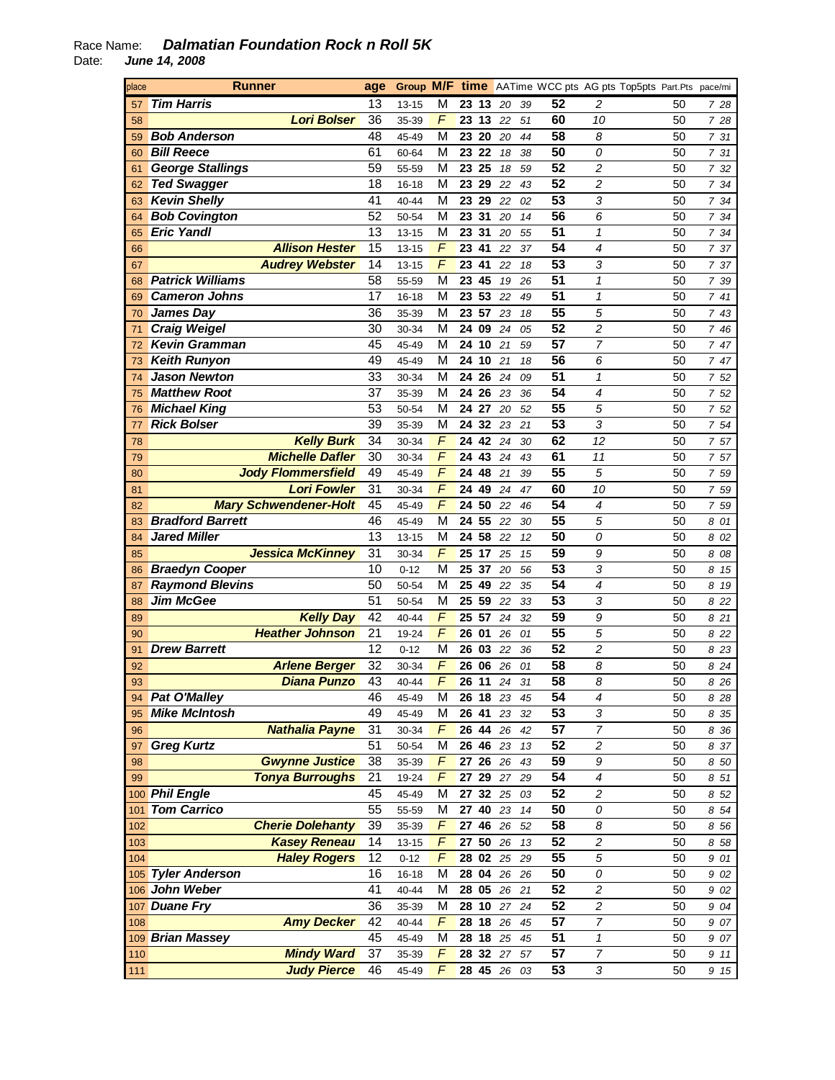## Race Name: **Dalmatian Foundation Rock n Roll 5K**  Date: **June 14, 2008**